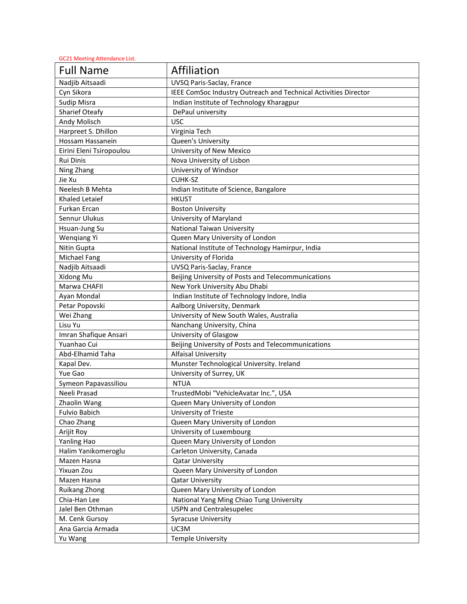GC21 Meeting Attendance List.

| <b>Full Name</b>         | Affiliation                                                     |
|--------------------------|-----------------------------------------------------------------|
| Nadjib Aitsaadi          | UVSQ Paris-Saclay, France                                       |
| Cyn Sikora               | IEEE ComSoc Industry Outreach and Technical Activities Director |
| Sudip Misra              | Indian Institute of Technology Kharagpur                        |
| <b>Sharief Oteafy</b>    | DePaul university                                               |
| Andy Molisch             | <b>USC</b>                                                      |
| Harpreet S. Dhillon      | Virginia Tech                                                   |
| Hossam Hassanein         | Queen's University                                              |
| Eirini Eleni Tsiropoulou | University of New Mexico                                        |
| Rui Dinis                | Nova University of Lisbon                                       |
| Ning Zhang               | University of Windsor                                           |
| Jie Xu                   | CUHK-SZ                                                         |
| Neelesh B Mehta          | Indian Institute of Science, Bangalore                          |
| Khaled Letaief           | <b>HKUST</b>                                                    |
| Furkan Ercan             | <b>Boston University</b>                                        |
| Sennur Ulukus            | University of Maryland                                          |
| Hsuan-Jung Su            | <b>National Taiwan University</b>                               |
| Wenqiang Yi              | Queen Mary University of London                                 |
| Nitin Gupta              | National Institute of Technology Hamirpur, India                |
| Michael Fang             | University of Florida                                           |
| Nadjib Aitsaadi          | UVSQ Paris-Saclay, France                                       |
| Xidong Mu                | Beijing University of Posts and Telecommunications              |
| Marwa CHAFII             | New York University Abu Dhabi                                   |
| Ayan Mondal              | Indian Institute of Technology Indore, India                    |
| Petar Popovski           | Aalborg University, Denmark                                     |
| Wei Zhang                | University of New South Wales, Australia                        |
| Lisu Yu                  | Nanchang University, China                                      |
| Imran Shafique Ansari    | University of Glasgow                                           |
| Yuanhao Cui              | Beijing University of Posts and Telecommunications              |
| Abd-Elhamid Taha         | <b>Alfaisal University</b>                                      |
| Kapal Dev.               | Munster Technological University. Ireland                       |
| Yue Gao                  | University of Surrey, UK                                        |
| Symeon Papavassiliou     | <b>NTUA</b>                                                     |
| Neeli Prasad             | TrustedMobi "VehicleAvatar Inc.", USA                           |
| Zhaolin Wang             | Queen Mary University of London                                 |
| <b>Fulvio Babich</b>     | University of Trieste                                           |
| Chao Zhang               | Queen Mary University of London                                 |
| Arijit Roy               | University of Luxembourg                                        |
| Yanling Hao              | Queen Mary University of London                                 |
| Halim Yanikomeroglu      | Carleton University, Canada                                     |
| Mazen Hasna              | <b>Qatar University</b>                                         |
| Yixuan Zou               | Queen Mary University of London                                 |
| Mazen Hasna              | <b>Qatar University</b>                                         |
| Ruikang Zhong            | Queen Mary University of London                                 |
| Chia-Han Lee             | National Yang Ming Chiao Tung University                        |
| Jalel Ben Othman         | <b>USPN and Centralesupelec</b>                                 |
| M. Cenk Gursoy           | <b>Syracuse University</b>                                      |
| Ana Garcia Armada        | UC3M                                                            |
| Yu Wang                  | <b>Temple University</b>                                        |